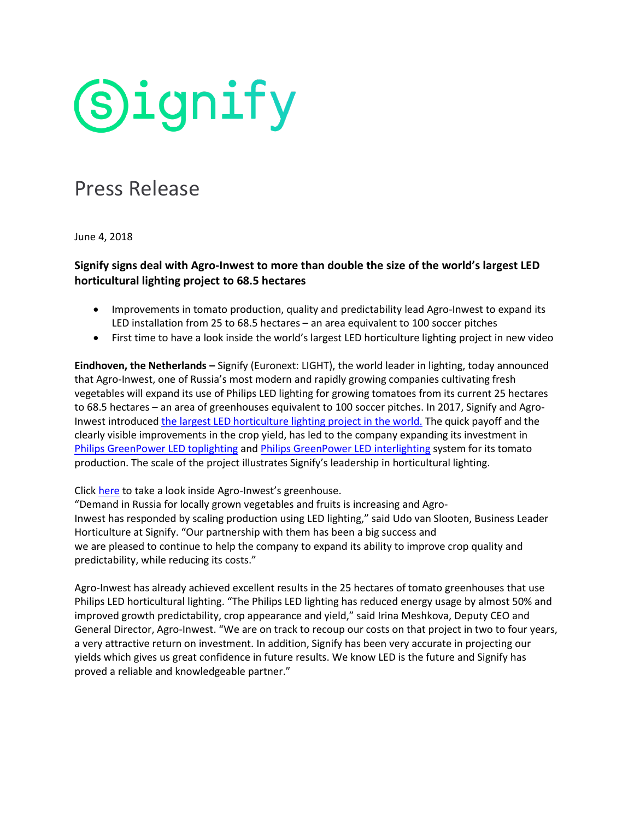# **Signify**

### Press Release

June 4, 2018

### **Signify signs deal with Agro-Inwest to more than double the size of the world's largest LED horticultural lighting project to 68.5 hectares**

- Improvements in tomato production, quality and predictability lead Agro-Inwest to expand its LED installation from 25 to 68.5 hectares – an area equivalent to 100 soccer pitches
- First time to have a look inside the world's largest LED horticulture lighting project in new video

**Eindhoven, the Netherlands –** Signify (Euronext: LIGHT), the world leader in lighting, today announced that Agro-Inwest, one of Russia's most modern and rapidly growing companies cultivating fresh vegetables will expand its use of Philips LED lighting for growing tomatoes from its current 25 hectares to 68.5 hectares – an area of greenhouses equivalent to 100 soccer pitches. In 2017, Signify and AgroInwest introduced [the largest LED horticulture lighting project in the world.](https://www.signify.com/global/about/news/press-release-archive/2017/20170614-philips-lighting-begins-largest-led-horticultural-lighting-project-in-the-world) The quick payoff and the clearly visible improvements in the crop yield, has led to the company expanding its investment in [Philips GreenPower](http://www.lighting.philips.com/main/products/horticulture/products/greenpower-led-interlighting-module) LED toplighting and Philips GreenPower LED interlighting system for its tomato production. The scale of the project illustrates Signify's leadership in horticultural lighting.

Click [here](https://www.youtube.com/watch?v=5AZYD6AY4wM) to take a look inside Agro-Inwest's greenhouse.

"Demand in Russia for locally grown vegetables and fruits is increasing and Agro-Inwest has responded by scaling production using LED lighting," said Udo van Slooten, Business Leader Horticulture at Signify. "Our partnership with them has been a big success and we are pleased to continue to help the company to expand its ability to improve crop quality and predictability, while reducing its costs."

Agro-Inwest has already achieved excellent results in the 25 hectares of tomato greenhouses that use Philips LED horticultural lighting. "The Philips LED lighting has reduced energy usage by almost 50% and improved growth predictability, crop appearance and yield," said Irina Meshkova, Deputy CEO and General Director, Agro-Inwest. "We are on track to recoup our costs on that project in two to four years, a very attractive return on investment. In addition, Signify has been very accurate in projecting our yields which gives us great confidence in future results. We know LED is the future and Signify has proved a reliable and knowledgeable partner."